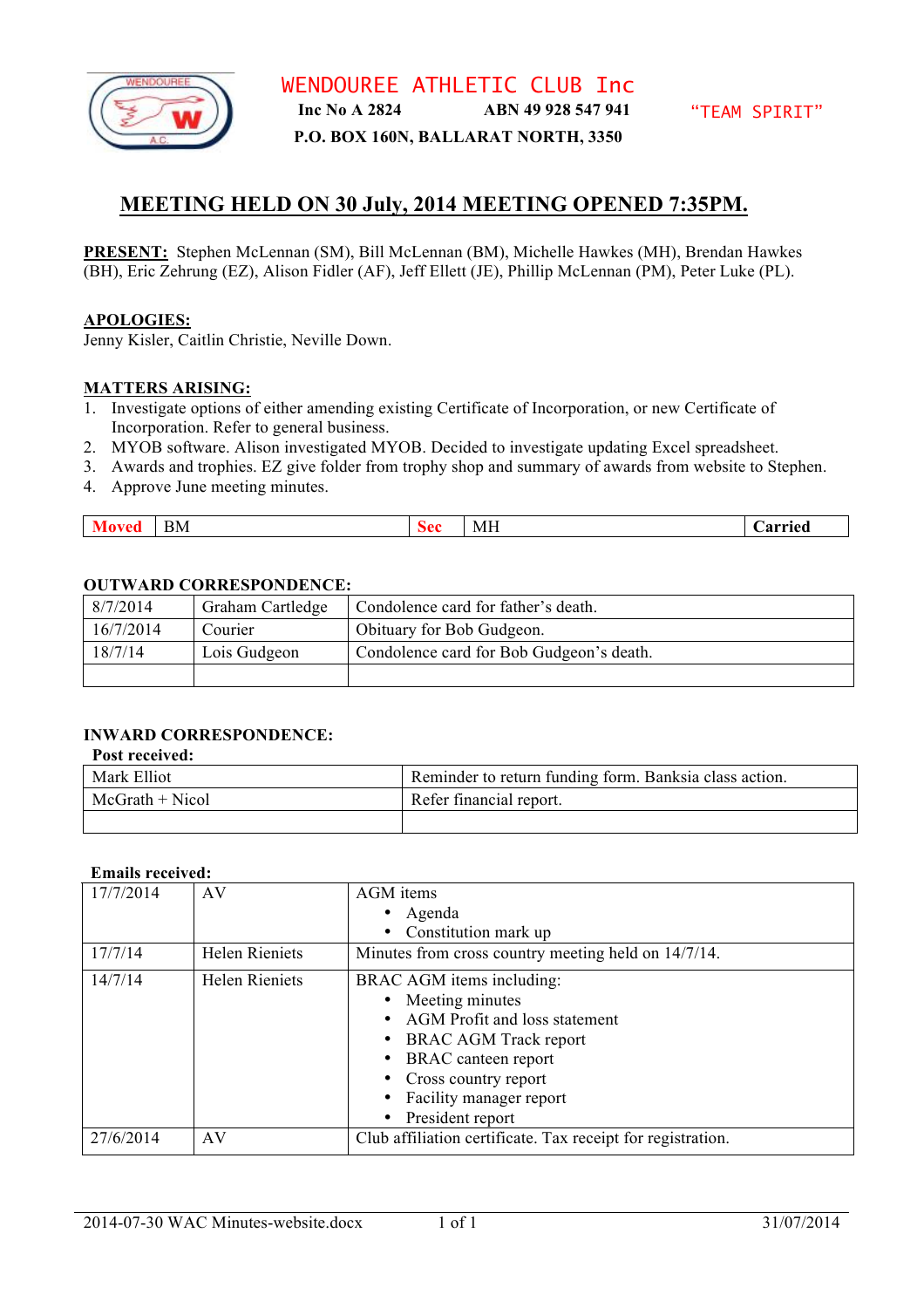

WENDOUREE ATHLETIC CLUB Inc **Inc No A 2824 ABN 49 928 547 941**

## **P.O. BOX 160N, BALLARAT NORTH, 3350**

# **MEETING HELD ON 30 July, 2014 MEETING OPENED 7:35PM.**

**PRESENT:** Stephen McLennan (SM), Bill McLennan (BM), Michelle Hawkes (MH), Brendan Hawkes (BH), Eric Zehrung (EZ), Alison Fidler (AF), Jeff Ellett (JE), Phillip McLennan (PM), Peter Luke (PL).

### **APOLOGIES:**

Jenny Kisler, Caitlin Christie, Neville Down.

#### **MATTERS ARISING:**

- 1. Investigate options of either amending existing Certificate of Incorporation, or new Certificate of Incorporation. Refer to general business.
- 2. MYOB software. Alison investigated MYOB. Decided to investigate updating Excel spreadsheet.
- 3. Awards and trophies. EZ give folder from trophy shop and summary of awards from website to Stephen.
- 4. Approve June meeting minutes.

## **OUTWARD CORRESPONDENCE:**

| 8/7/2014  | Graham Cartledge | Condolence card for father's death.      |
|-----------|------------------|------------------------------------------|
| 16/7/2014 | Courier          | Obituary for Bob Gudgeon.                |
| 18/7/14   | Lois Gudgeon     | Condolence card for Bob Gudgeon's death. |
|           |                  |                                          |

# **INWARD CORRESPONDENCE:**

#### **Post received:**

| Mark Elliot        | Reminder to return funding form. Banksia class action. |
|--------------------|--------------------------------------------------------|
| $McG$ rath + Nicol | Refer financial report.                                |
|                    |                                                        |

#### **Emails received:**

| 17/7/2014 | AV                    | AGM items                                                   |  |
|-----------|-----------------------|-------------------------------------------------------------|--|
|           |                       | • Agenda                                                    |  |
|           |                       | Constitution mark up<br>٠                                   |  |
| 17/7/14   | <b>Helen Rieniets</b> | Minutes from cross country meeting held on 14/7/14.         |  |
| 14/7/14   | <b>Helen Rieniets</b> | BRAC AGM items including:                                   |  |
|           |                       | • Meeting minutes                                           |  |
|           |                       | AGM Profit and loss statement<br>$\bullet$                  |  |
|           |                       | <b>BRAC AGM Track report</b><br>٠                           |  |
|           |                       | <b>BRAC</b> canteen report<br>٠                             |  |
|           |                       | • Cross country report                                      |  |
|           |                       | Facility manager report                                     |  |
|           |                       | President report<br>$\bullet$                               |  |
| 27/6/2014 | AV                    | Club affiliation certificate. Tax receipt for registration. |  |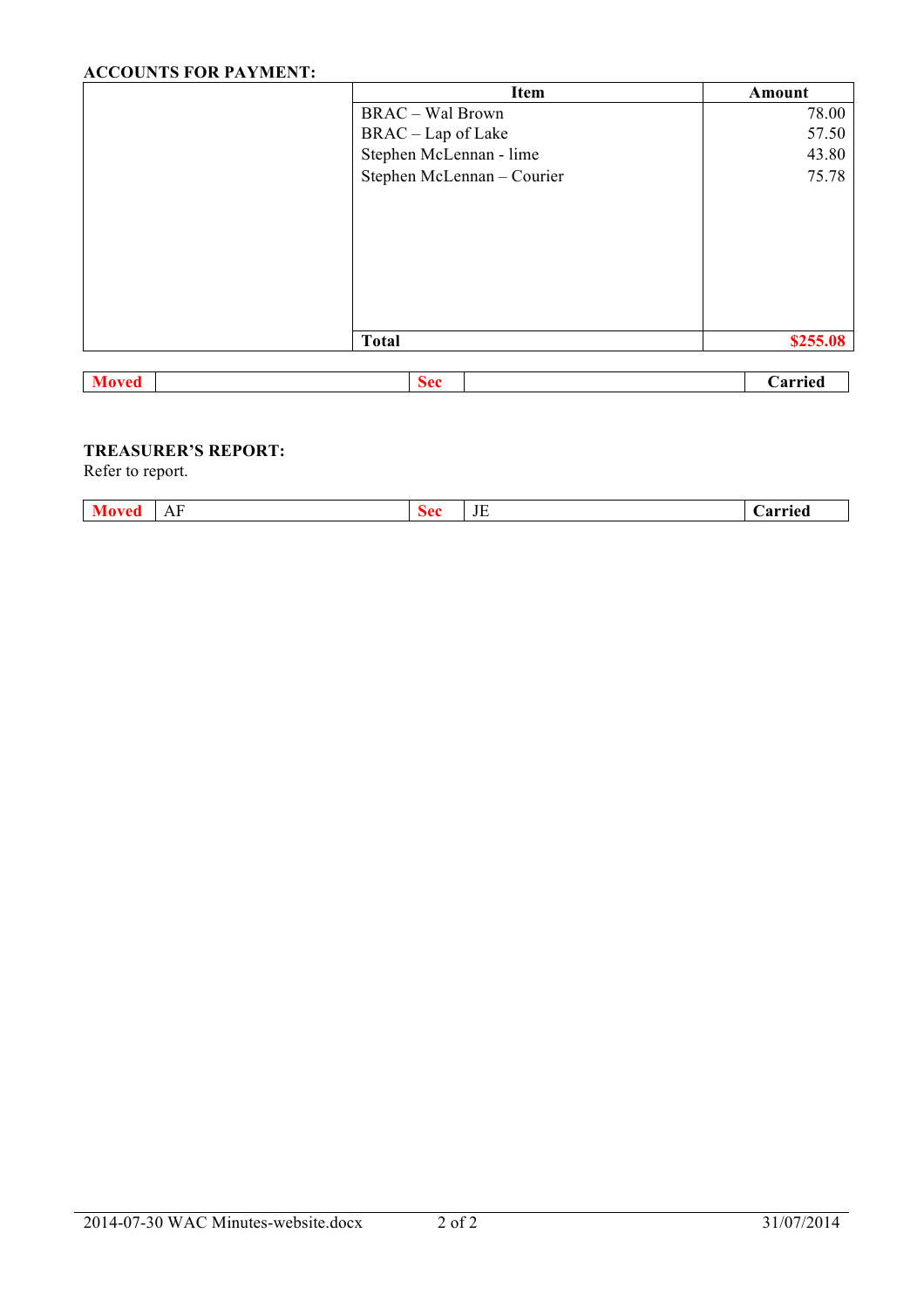# **ACCOUNTS FOR PAYMENT:**

|              | <b>Item</b>                | Amount   |
|--------------|----------------------------|----------|
|              | <b>BRAC</b> - Wal Brown    | 78.00    |
|              | BRAC - Lap of Lake         | 57.50    |
|              | Stephen McLennan - lime    | 43.80    |
|              | Stephen McLennan - Courier | 75.78    |
|              |                            |          |
|              |                            |          |
|              |                            |          |
|              |                            |          |
|              |                            |          |
|              |                            |          |
|              |                            |          |
|              | <b>Total</b>               | \$255.08 |
|              |                            |          |
| <b>Moved</b> | <b>Sec</b>                 | Carried  |

Refer to report.

| <b>Moved</b> | AF | sec | $\mathbf{H}$<br>. J L<br>__ | 0.1110<br>.иг |
|--------------|----|-----|-----------------------------|---------------|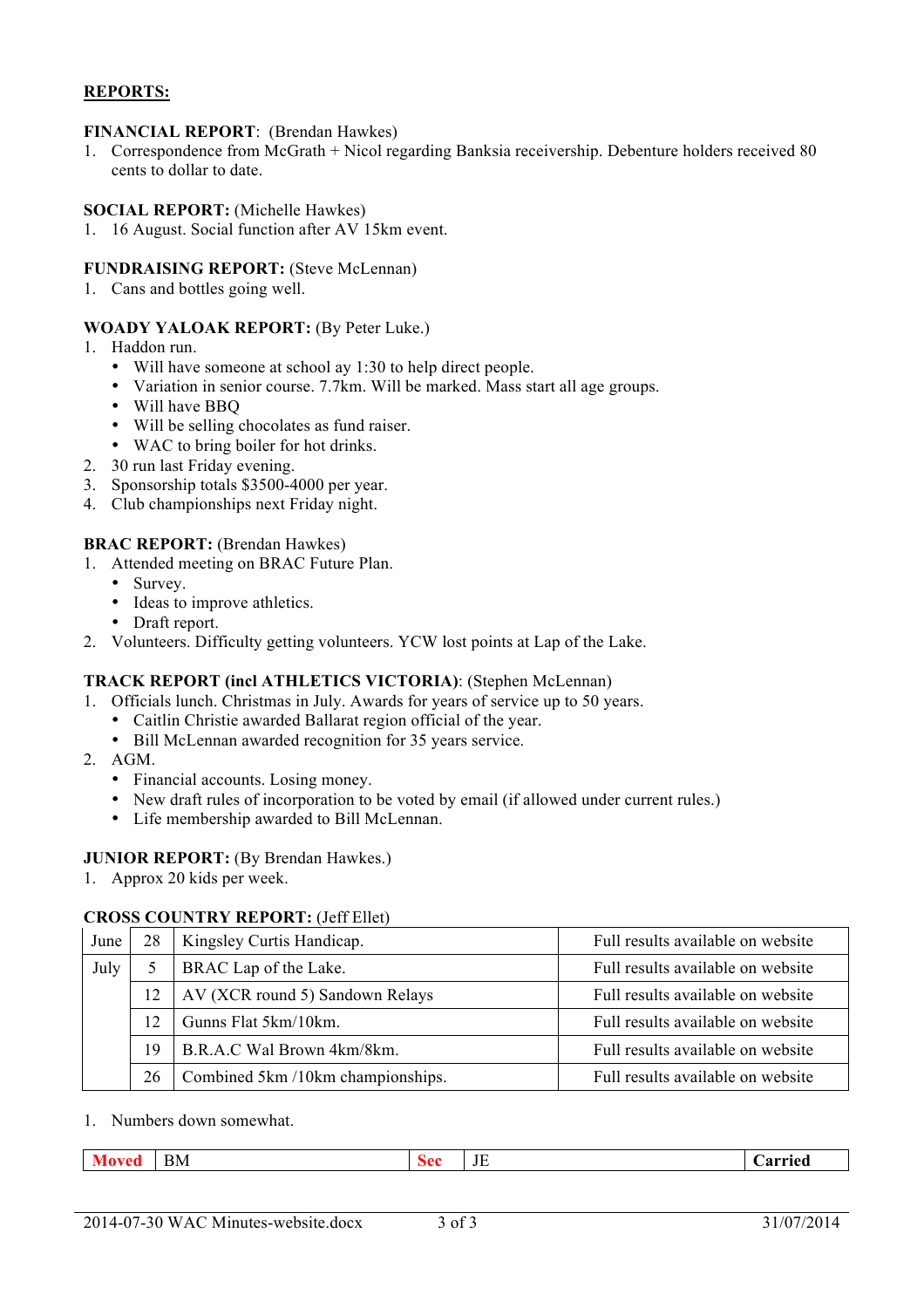# **REPORTS:**

#### **FINANCIAL REPORT**: (Brendan Hawkes)

1. Correspondence from McGrath + Nicol regarding Banksia receivership. Debenture holders received 80 cents to dollar to date.

#### **SOCIAL REPORT:** (Michelle Hawkes)

1. 16 August. Social function after AV 15km event.

#### **FUNDRAISING REPORT:** (Steve McLennan)

1. Cans and bottles going well.

#### **WOADY YALOAK REPORT:** (By Peter Luke.)

- 1. Haddon run.
	- Will have someone at school ay 1:30 to help direct people.
	- Variation in senior course. 7.7km. Will be marked. Mass start all age groups.
	- Will have BBQ
	- Will be selling chocolates as fund raiser.
	- WAC to bring boiler for hot drinks.
- 2. 30 run last Friday evening.
- 3. Sponsorship totals \$3500-4000 per year.
- 4. Club championships next Friday night.

#### **BRAC REPORT:** (Brendan Hawkes)

- 1. Attended meeting on BRAC Future Plan.
	- Survey.
	- Ideas to improve athletics.
	- Draft report.
- 2. Volunteers. Difficulty getting volunteers. YCW lost points at Lap of the Lake.

#### **TRACK REPORT (incl ATHLETICS VICTORIA)**: (Stephen McLennan)

- 1. Officials lunch. Christmas in July. Awards for years of service up to 50 years.
	- Caitlin Christie awarded Ballarat region official of the year.
	- Bill McLennan awarded recognition for 35 years service.
- 2. AGM.
	- Financial accounts. Losing money.
	- New draft rules of incorporation to be voted by email (if allowed under current rules.)
	- Life membership awarded to Bill McLennan.

### **JUNIOR REPORT:** (By Brendan Hawkes.)

1. Approx 20 kids per week.

### **CROSS COUNTRY REPORT:** (Jeff Ellet)

| June | 28 | Kingsley Curtis Handicap.         | Full results available on website |  |
|------|----|-----------------------------------|-----------------------------------|--|
| July |    | BRAC Lap of the Lake.             | Full results available on website |  |
|      | 12 | AV (XCR round 5) Sandown Relays   | Full results available on website |  |
|      | 12 | Gunns Flat 5km/10km.              | Full results available on website |  |
|      | 19 | B.R.A.C Wal Brown 4km/8km.        | Full results available on website |  |
|      | 26 | Combined 5km /10km championships. | Full results available on website |  |

1. Numbers down somewhat.

| <b>BM</b><br><b>Moved</b> | <b>Sec</b> | JE | Carried |
|---------------------------|------------|----|---------|
|---------------------------|------------|----|---------|